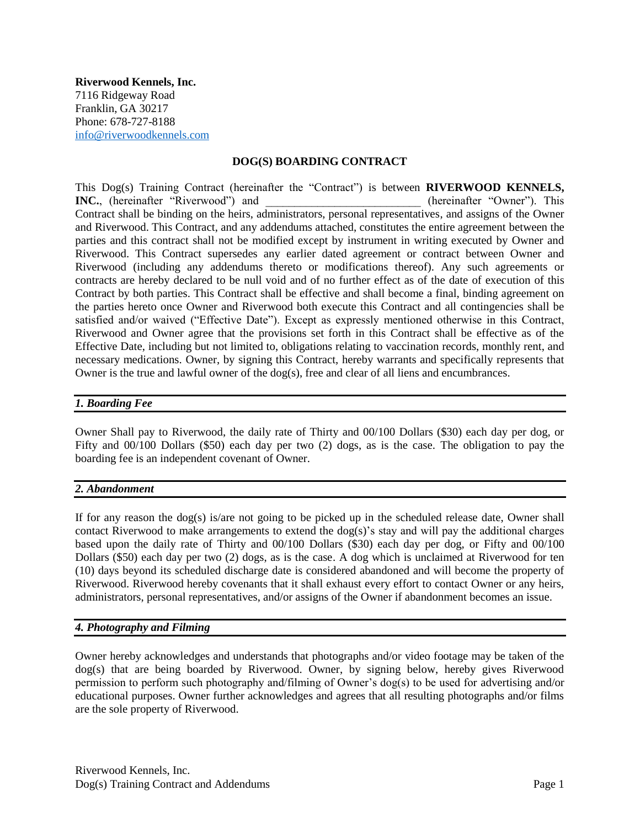**Riverwood Kennels, Inc.** 7116 Ridgeway Road Franklin, GA 30217 Phone: 678-727-8188 [info@riverwoodkennels.com](mailto:info@riverwoodkennels.com)

### **DOG(S) BOARDING CONTRACT**

This Dog(s) Training Contract (hereinafter the "Contract") is between **RIVERWOOD KENNELS, INC.**, (hereinafter "Riverwood") and  $\blacksquare$  (hereinafter "Owner"). This Contract shall be binding on the heirs, administrators, personal representatives, and assigns of the Owner and Riverwood. This Contract, and any addendums attached, constitutes the entire agreement between the parties and this contract shall not be modified except by instrument in writing executed by Owner and Riverwood. This Contract supersedes any earlier dated agreement or contract between Owner and Riverwood (including any addendums thereto or modifications thereof). Any such agreements or contracts are hereby declared to be null void and of no further effect as of the date of execution of this Contract by both parties. This Contract shall be effective and shall become a final, binding agreement on the parties hereto once Owner and Riverwood both execute this Contract and all contingencies shall be satisfied and/or waived ("Effective Date"). Except as expressly mentioned otherwise in this Contract, Riverwood and Owner agree that the provisions set forth in this Contract shall be effective as of the Effective Date, including but not limited to, obligations relating to vaccination records, monthly rent, and necessary medications. Owner, by signing this Contract, hereby warrants and specifically represents that Owner is the true and lawful owner of the dog(s), free and clear of all liens and encumbrances.

### *1. Boarding Fee*

Owner Shall pay to Riverwood, the daily rate of Thirty and 00/100 Dollars (\$30) each day per dog, or Fifty and 00/100 Dollars (\$50) each day per two (2) dogs, as is the case. The obligation to pay the boarding fee is an independent covenant of Owner.

### *2. Abandonment*

If for any reason the dog(s) is/are not going to be picked up in the scheduled release date, Owner shall contact Riverwood to make arrangements to extend the dog(s)'s stay and will pay the additional charges based upon the daily rate of Thirty and 00/100 Dollars (\$30) each day per dog, or Fifty and 00/100 Dollars (\$50) each day per two (2) dogs, as is the case. A dog which is unclaimed at Riverwood for ten (10) days beyond its scheduled discharge date is considered abandoned and will become the property of Riverwood. Riverwood hereby covenants that it shall exhaust every effort to contact Owner or any heirs, administrators, personal representatives, and/or assigns of the Owner if abandonment becomes an issue.

### *4. Photography and Filming*

Owner hereby acknowledges and understands that photographs and/or video footage may be taken of the dog(s) that are being boarded by Riverwood. Owner, by signing below, hereby gives Riverwood permission to perform such photography and/filming of Owner's dog(s) to be used for advertising and/or educational purposes. Owner further acknowledges and agrees that all resulting photographs and/or films are the sole property of Riverwood.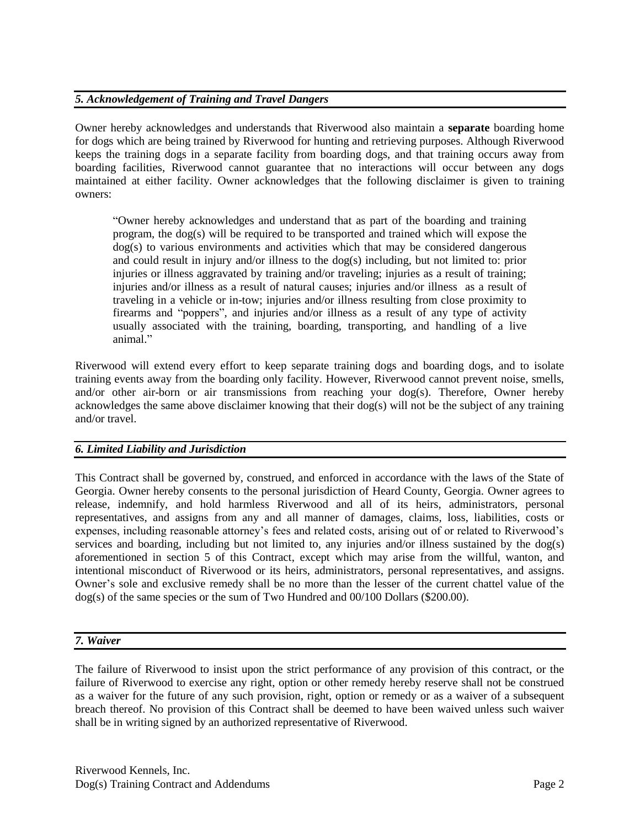# *5. Acknowledgement of Training and Travel Dangers*

Owner hereby acknowledges and understands that Riverwood also maintain a **separate** boarding home for dogs which are being trained by Riverwood for hunting and retrieving purposes. Although Riverwood keeps the training dogs in a separate facility from boarding dogs, and that training occurs away from boarding facilities, Riverwood cannot guarantee that no interactions will occur between any dogs maintained at either facility. Owner acknowledges that the following disclaimer is given to training owners:

"Owner hereby acknowledges and understand that as part of the boarding and training program, the dog(s) will be required to be transported and trained which will expose the dog(s) to various environments and activities which that may be considered dangerous and could result in injury and/or illness to the dog(s) including, but not limited to: prior injuries or illness aggravated by training and/or traveling; injuries as a result of training; injuries and/or illness as a result of natural causes; injuries and/or illness as a result of traveling in a vehicle or in-tow; injuries and/or illness resulting from close proximity to firearms and "poppers", and injuries and/or illness as a result of any type of activity usually associated with the training, boarding, transporting, and handling of a live animal."

Riverwood will extend every effort to keep separate training dogs and boarding dogs, and to isolate training events away from the boarding only facility. However, Riverwood cannot prevent noise, smells, and/or other air-born or air transmissions from reaching your dog(s). Therefore, Owner hereby acknowledges the same above disclaimer knowing that their dog(s) will not be the subject of any training and/or travel.

# *6. Limited Liability and Jurisdiction*

This Contract shall be governed by, construed, and enforced in accordance with the laws of the State of Georgia. Owner hereby consents to the personal jurisdiction of Heard County, Georgia. Owner agrees to release, indemnify, and hold harmless Riverwood and all of its heirs, administrators, personal representatives, and assigns from any and all manner of damages, claims, loss, liabilities, costs or expenses, including reasonable attorney's fees and related costs, arising out of or related to Riverwood's services and boarding, including but not limited to, any injuries and/or illness sustained by the dog(s) aforementioned in section 5 of this Contract, except which may arise from the willful, wanton, and intentional misconduct of Riverwood or its heirs, administrators, personal representatives, and assigns. Owner's sole and exclusive remedy shall be no more than the lesser of the current chattel value of the dog(s) of the same species or the sum of Two Hundred and 00/100 Dollars (\$200.00).

### *7. Waiver*

The failure of Riverwood to insist upon the strict performance of any provision of this contract, or the failure of Riverwood to exercise any right, option or other remedy hereby reserve shall not be construed as a waiver for the future of any such provision, right, option or remedy or as a waiver of a subsequent breach thereof. No provision of this Contract shall be deemed to have been waived unless such waiver shall be in writing signed by an authorized representative of Riverwood.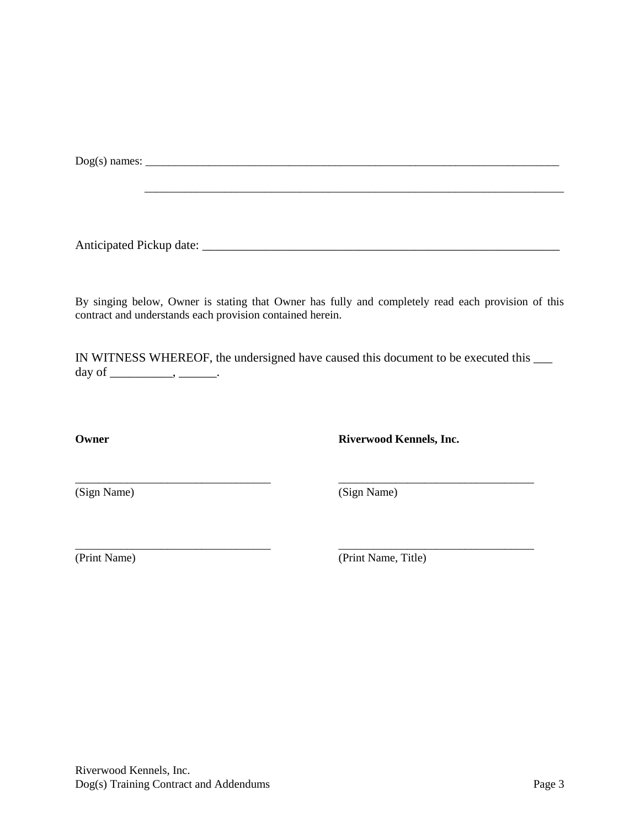Dog(s) names: \_\_\_\_\_\_\_\_\_\_\_\_\_\_\_\_\_\_\_\_\_\_\_\_\_\_\_\_\_\_\_\_\_\_\_\_\_\_\_\_\_\_\_\_\_\_\_\_\_\_\_\_\_\_\_\_\_\_\_\_\_\_\_\_\_\_\_\_\_\_\_\_

Anticipated Pickup date: \_\_\_\_\_\_\_\_\_\_\_\_\_\_\_\_\_\_\_\_\_\_\_\_\_\_\_\_\_\_\_\_\_\_\_\_\_\_\_\_\_\_\_\_\_\_\_\_\_\_\_\_\_\_\_\_\_

By singing below, Owner is stating that Owner has fully and completely read each provision of this contract and understands each provision contained herein.

IN WITNESS WHEREOF, the undersigned have caused this document to be executed this \_\_\_ day of \_\_\_\_\_\_\_\_\_\_\_, \_\_\_\_\_\_\_.

\_\_\_\_\_\_\_\_\_\_\_\_\_\_\_\_\_\_\_\_\_\_\_\_\_\_\_\_\_\_\_\_\_\_ \_\_\_\_\_\_\_\_\_\_\_\_\_\_\_\_\_\_\_\_\_\_\_\_\_\_\_\_\_\_\_\_\_\_

\_\_\_\_\_\_\_\_\_\_\_\_\_\_\_\_\_\_\_\_\_\_\_\_\_\_\_\_\_\_\_\_\_\_ \_\_\_\_\_\_\_\_\_\_\_\_\_\_\_\_\_\_\_\_\_\_\_\_\_\_\_\_\_\_\_\_\_\_

**Owner Riverwood Kennels, Inc.**

(Sign Name) (Sign Name)

\_\_\_\_\_\_\_\_\_\_\_\_\_\_\_\_\_\_\_\_\_\_\_\_\_\_\_\_\_\_\_\_\_\_\_\_\_\_\_\_\_\_\_\_\_\_\_\_\_\_\_\_\_\_\_\_\_\_\_\_\_\_\_\_\_\_\_\_\_\_\_\_\_

(Print Name) (Print Name, Title)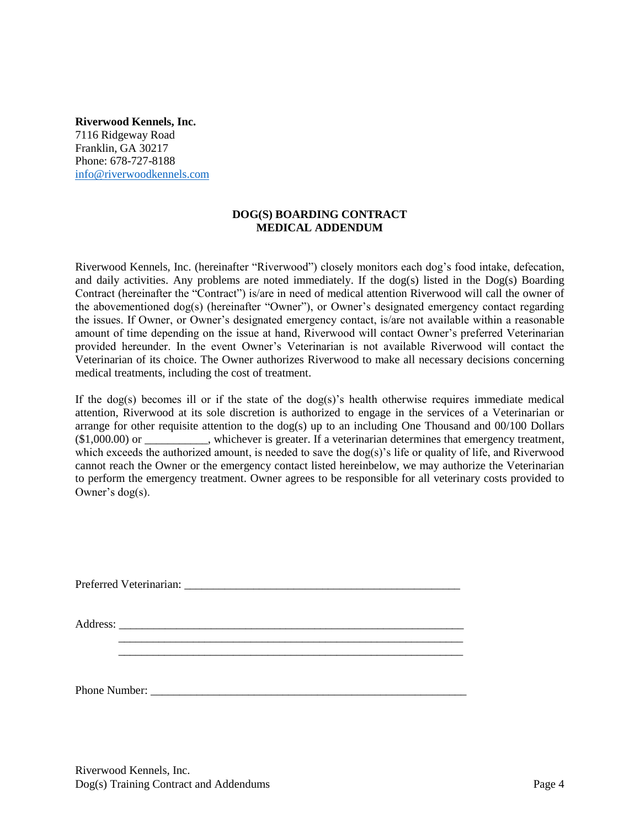**Riverwood Kennels, Inc.** 7116 Ridgeway Road Franklin, GA 30217 Phone: 678-727-8188 [info@riverwoodkennels.com](mailto:info@riverwoodkennels.com)

# **DOG(S) BOARDING CONTRACT MEDICAL ADDENDUM**

Riverwood Kennels, Inc. (hereinafter "Riverwood") closely monitors each dog's food intake, defecation, and daily activities. Any problems are noted immediately. If the  $\log(s)$  listed in the  $\log(s)$  Boarding Contract (hereinafter the "Contract") is/are in need of medical attention Riverwood will call the owner of the abovementioned dog(s) (hereinafter "Owner"), or Owner's designated emergency contact regarding the issues. If Owner, or Owner's designated emergency contact, is/are not available within a reasonable amount of time depending on the issue at hand, Riverwood will contact Owner's preferred Veterinarian provided hereunder. In the event Owner's Veterinarian is not available Riverwood will contact the Veterinarian of its choice. The Owner authorizes Riverwood to make all necessary decisions concerning medical treatments, including the cost of treatment.

If the dog(s) becomes ill or if the state of the dog(s)'s health otherwise requires immediate medical attention, Riverwood at its sole discretion is authorized to engage in the services of a Veterinarian or arrange for other requisite attention to the dog(s) up to an including One Thousand and 00/100 Dollars (\$1,000.00) or \_\_\_\_\_\_\_\_\_\_\_, whichever is greater. If a veterinarian determines that emergency treatment, which exceeds the authorized amount, is needed to save the dog(s)'s life or quality of life, and Riverwood cannot reach the Owner or the emergency contact listed hereinbelow, we may authorize the Veterinarian to perform the emergency treatment. Owner agrees to be responsible for all veterinary costs provided to Owner's dog(s).

Riverwood Kennels, Inc. Dog(s) Training Contract and Addendums Page 4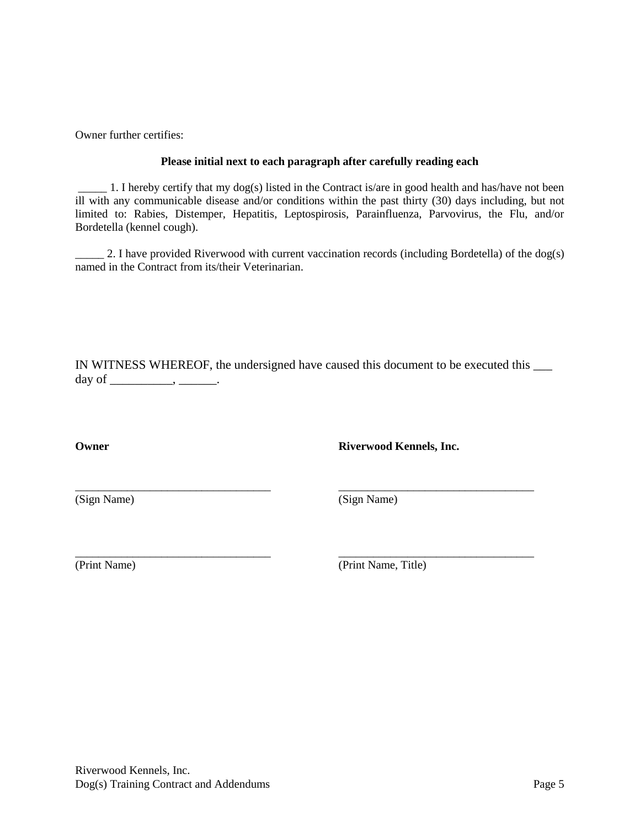Owner further certifies:

## **Please initial next to each paragraph after carefully reading each**

\_\_\_\_\_ 1. I hereby certify that my dog(s) listed in the Contract is/are in good health and has/have not been ill with any communicable disease and/or conditions within the past thirty (30) days including, but not limited to: Rabies, Distemper, Hepatitis, Leptospirosis, Parainfluenza, Parvovirus, the Flu, and/or Bordetella (kennel cough).

 $\_\,$  2. I have provided Riverwood with current vaccination records (including Bordetella) of the dog(s) named in the Contract from its/their Veterinarian.

IN WITNESS WHEREOF, the undersigned have caused this document to be executed this \_\_\_ day of  $\_\_\_\_\_\_\_\_\_\_\_\_\_\_\_\_\_\_\_$ 

\_\_\_\_\_\_\_\_\_\_\_\_\_\_\_\_\_\_\_\_\_\_\_\_\_\_\_\_\_\_\_\_\_\_ \_\_\_\_\_\_\_\_\_\_\_\_\_\_\_\_\_\_\_\_\_\_\_\_\_\_\_\_\_\_\_\_\_\_

**Owner Riverwood Kennels, Inc.**

(Sign Name) (Sign Name)

\_\_\_\_\_\_\_\_\_\_\_\_\_\_\_\_\_\_\_\_\_\_\_\_\_\_\_\_\_\_\_\_\_\_ \_\_\_\_\_\_\_\_\_\_\_\_\_\_\_\_\_\_\_\_\_\_\_\_\_\_\_\_\_\_\_\_\_\_ (Print Name) (Print Name, Title)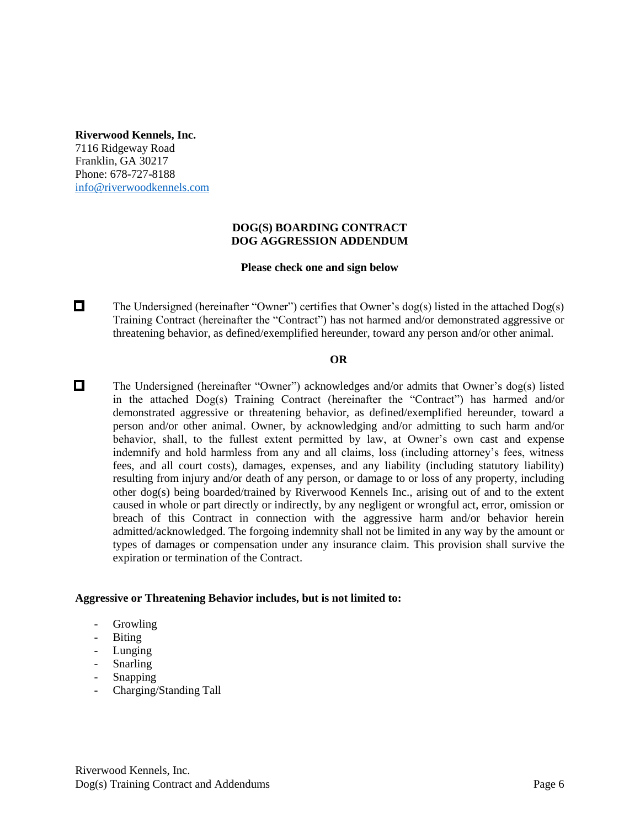**Riverwood Kennels, Inc.**

7116 Ridgeway Road Franklin, GA 30217 Phone: 678-727-8188 [info@riverwoodkennels.com](mailto:info@riverwoodkennels.com)

# **DOG(S) BOARDING CONTRACT DOG AGGRESSION ADDENDUM**

# **Please check one and sign below**

 $\Box$ The Undersigned (hereinafter "Owner") certifies that Owner's dog(s) listed in the attached Dog(s) Training Contract (hereinafter the "Contract") has not harmed and/or demonstrated aggressive or threatening behavior, as defined/exemplified hereunder, toward any person and/or other animal.

# **OR**

 $\Box$ The Undersigned (hereinafter "Owner") acknowledges and/or admits that Owner's dog(s) listed in the attached Dog(s) Training Contract (hereinafter the "Contract") has harmed and/or demonstrated aggressive or threatening behavior, as defined/exemplified hereunder, toward a person and/or other animal. Owner, by acknowledging and/or admitting to such harm and/or behavior, shall, to the fullest extent permitted by law, at Owner's own cast and expense indemnify and hold harmless from any and all claims, loss (including attorney's fees, witness fees, and all court costs), damages, expenses, and any liability (including statutory liability) resulting from injury and/or death of any person, or damage to or loss of any property, including other dog(s) being boarded/trained by Riverwood Kennels Inc., arising out of and to the extent caused in whole or part directly or indirectly, by any negligent or wrongful act, error, omission or breach of this Contract in connection with the aggressive harm and/or behavior herein admitted/acknowledged. The forgoing indemnity shall not be limited in any way by the amount or types of damages or compensation under any insurance claim. This provision shall survive the expiration or termination of the Contract.

### **Aggressive or Threatening Behavior includes, but is not limited to:**

- **Growling**
- Biting
- Lunging
- Snarling
- **Snapping**
- Charging/Standing Tall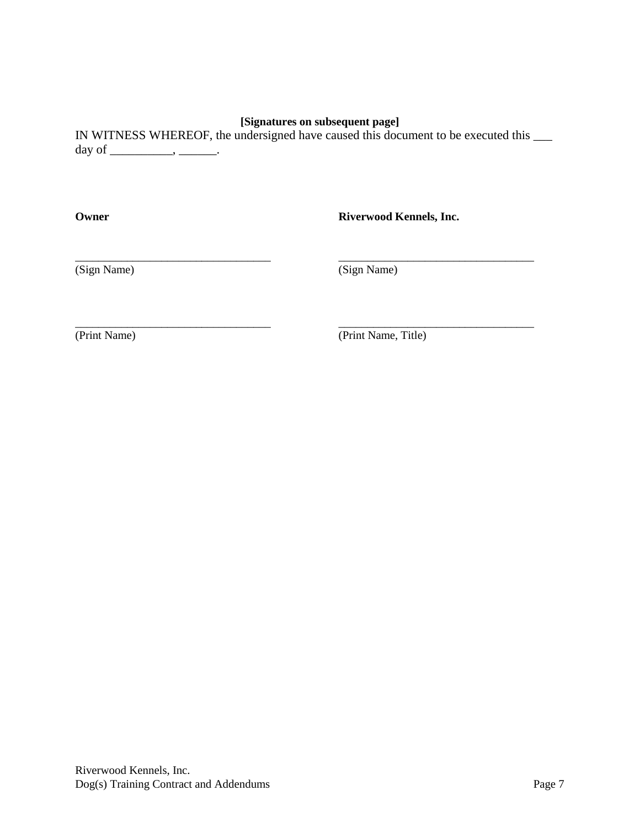# **[Signatures on subsequent page]**

IN WITNESS WHEREOF, the undersigned have caused this document to be executed this \_\_\_ day of  $\_\_\_\_\_\_\$ .

\_\_\_\_\_\_\_\_\_\_\_\_\_\_\_\_\_\_\_\_\_\_\_\_\_\_\_\_\_\_\_\_\_\_ \_\_\_\_\_\_\_\_\_\_\_\_\_\_\_\_\_\_\_\_\_\_\_\_\_\_\_\_\_\_\_\_\_\_

\_\_\_\_\_\_\_\_\_\_\_\_\_\_\_\_\_\_\_\_\_\_\_\_\_\_\_\_\_\_\_\_\_\_ \_\_\_\_\_\_\_\_\_\_\_\_\_\_\_\_\_\_\_\_\_\_\_\_\_\_\_\_\_\_\_\_\_\_

**Owner Riverwood Kennels, Inc.**

(Sign Name) (Sign Name)

(Print Name) (Print Name, Title)